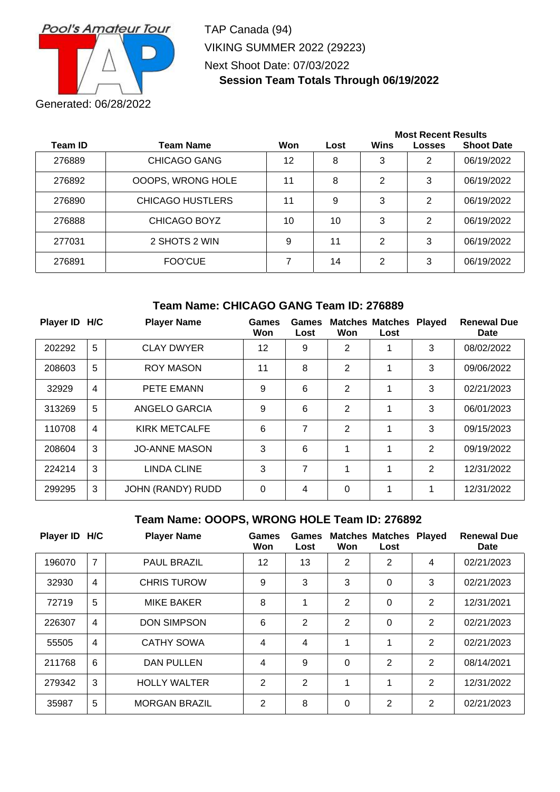

TAP Canada (94) VIKING SUMMER 2022 (29223) Next Shoot Date: 07/03/2022 **Session Team Totals Through 06/19/2022**

|                |                         |     |      | <b>Most Recent Results</b> |               |                   |  |
|----------------|-------------------------|-----|------|----------------------------|---------------|-------------------|--|
| <b>Team ID</b> | <b>Team Name</b>        | Won | Lost | Wins                       | <b>Losses</b> | <b>Shoot Date</b> |  |
| 276889         | <b>CHICAGO GANG</b>     | 12  | 8    | 3                          | 2             | 06/19/2022        |  |
| 276892         | OOOPS, WRONG HOLE       | 11  | 8    | 2                          | 3             | 06/19/2022        |  |
| 276890         | <b>CHICAGO HUSTLERS</b> | 11  | 9    | 3                          | 2             | 06/19/2022        |  |
| 276888         | CHICAGO BOYZ            | 10  | 10   | 3                          | 2             | 06/19/2022        |  |
| 277031         | 2 SHOTS 2 WIN           | 9   | 11   | $\overline{2}$             | 3             | 06/19/2022        |  |
| 276891         | FOO'CUE                 | 7   | 14   | 2                          | 3             | 06/19/2022        |  |

### **Team Name: CHICAGO GANG Team ID: 276889**

| Player ID H/C |                | <b>Player Name</b>   | <b>Games</b><br>Won | Games<br>Lost | Won            | <b>Matches Matches Played</b><br>Lost |   | <b>Renewal Due</b><br>Date |
|---------------|----------------|----------------------|---------------------|---------------|----------------|---------------------------------------|---|----------------------------|
| 202292        | 5              | <b>CLAY DWYER</b>    | 12                  | 9             | 2              |                                       | 3 | 08/02/2022                 |
| 208603        | 5              | <b>ROY MASON</b>     | 11                  | 8             | $\overline{2}$ |                                       | 3 | 09/06/2022                 |
| 32929         | $\overline{4}$ | <b>PETE EMANN</b>    | 9                   | 6             | 2              |                                       | 3 | 02/21/2023                 |
| 313269        | 5              | ANGELO GARCIA        | 9                   | 6             | $\overline{2}$ | 1                                     | 3 | 06/01/2023                 |
| 110708        | $\overline{4}$ | <b>KIRK METCALFE</b> | 6                   | 7             | $\overline{2}$ | 1                                     | 3 | 09/15/2023                 |
| 208604        | 3              | <b>JO-ANNE MASON</b> | 3                   | 6             | 1              | 1                                     | 2 | 09/19/2022                 |
| 224214        | 3              | LINDA CLINE          | 3                   | 7             | 1              | 1                                     | 2 | 12/31/2022                 |
| 299295        | 3              | JOHN (RANDY) RUDD    | $\Omega$            | 4             | 0              | 1                                     | 1 | 12/31/2022                 |

### **Team Name: OOOPS, WRONG HOLE Team ID: 276892**

| Player ID H/C |                | <b>Player Name</b>   | Games<br>Won  | Games<br>Lost  | Won            | <b>Matches Matches Played</b><br>Lost |               | <b>Renewal Due</b><br>Date |
|---------------|----------------|----------------------|---------------|----------------|----------------|---------------------------------------|---------------|----------------------------|
| 196070        | $\overline{7}$ | <b>PAUL BRAZIL</b>   | 12            | 13             | $\overline{2}$ | 2                                     | 4             | 02/21/2023                 |
| 32930         | $\overline{4}$ | <b>CHRIS TUROW</b>   | 9             | 3              | 3              | $\mathbf 0$                           | 3             | 02/21/2023                 |
| 72719         | 5              | <b>MIKE BAKER</b>    | 8             | 1              | $\overline{2}$ | 0                                     | 2             | 12/31/2021                 |
| 226307        | $\overline{4}$ | <b>DON SIMPSON</b>   | 6             | $\mathbf{2}$   | 2              | $\mathbf 0$                           | 2             | 02/21/2023                 |
| 55505         | $\overline{4}$ | <b>CATHY SOWA</b>    | 4             | 4              | 1              | 1                                     | $\mathcal{P}$ | 02/21/2023                 |
| 211768        | 6              | <b>DAN PULLEN</b>    | 4             | 9              | $\Omega$       | 2                                     | $\mathcal{P}$ | 08/14/2021                 |
| 279342        | 3              | <b>HOLLY WALTER</b>  | $\mathcal{P}$ | $\overline{2}$ | 1              | 1                                     | $\mathcal{P}$ | 12/31/2022                 |
| 35987         | 5              | <b>MORGAN BRAZIL</b> | $\mathcal{P}$ | 8              | $\Omega$       | 2                                     | 2             | 02/21/2023                 |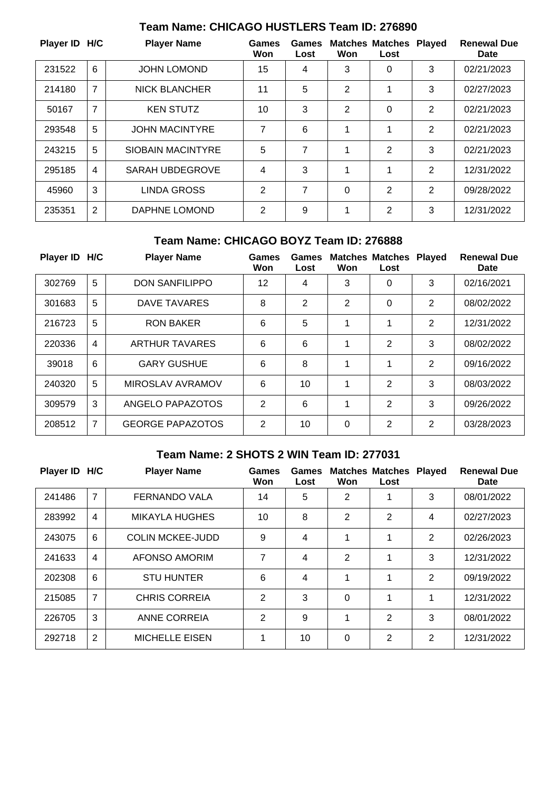| Player ID H/C |   | <b>Player Name</b>       | Games<br>Won   | Games<br>Lost | Won      | <b>Matches Matches</b><br>Lost | <b>Played</b>  | <b>Renewal Due</b><br>Date |
|---------------|---|--------------------------|----------------|---------------|----------|--------------------------------|----------------|----------------------------|
| 231522        | 6 | <b>JOHN LOMOND</b>       | 15             | 4             | 3        | 0                              | 3              | 02/21/2023                 |
| 214180        | 7 | <b>NICK BLANCHER</b>     | 11             | 5             | 2        |                                | 3              | 02/27/2023                 |
| 50167         | 7 | <b>KEN STUTZ</b>         | 10             | 3             | 2        | 0                              | $\overline{2}$ | 02/21/2023                 |
| 293548        | 5 | <b>JOHN MACINTYRE</b>    | 7              | 6             |          |                                | 2              | 02/21/2023                 |
| 243215        | 5 | <b>SIOBAIN MACINTYRE</b> | 5              | 7             | 1        | 2                              | 3              | 02/21/2023                 |
| 295185        | 4 | <b>SARAH UBDEGROVE</b>   | 4              | 3             | 1        | 1                              | $\overline{2}$ | 12/31/2022                 |
| 45960         | 3 | LINDA GROSS              | $\overline{2}$ | 7             | $\Omega$ | $\overline{2}$                 | $\overline{2}$ | 09/28/2022                 |
| 235351        | 2 | DAPHNE LOMOND            | $\overline{2}$ | 9             | 1        | 2                              | 3              | 12/31/2022                 |

# **Team Name: CHICAGO HUSTLERS Team ID: 276890**

# **Team Name: CHICAGO BOYZ Team ID: 276888**

| Player ID H/C |                | <b>Player Name</b>      | Games<br>Won   | Games<br>Lost  | Won            | <b>Matches Matches</b><br>Lost | <b>Played</b>  | <b>Renewal Due</b><br>Date |
|---------------|----------------|-------------------------|----------------|----------------|----------------|--------------------------------|----------------|----------------------------|
| 302769        | 5              | <b>DON SANFILIPPO</b>   | 12             | 4              | 3              | 0                              | 3              | 02/16/2021                 |
| 301683        | 5              | DAVE TAVARES            | 8              | $\overline{2}$ | $\overline{2}$ | 0                              | 2              | 08/02/2022                 |
| 216723        | 5              | <b>RON BAKER</b>        | 6              | 5              | 1              | 1                              | $\overline{2}$ | 12/31/2022                 |
| 220336        | $\overline{4}$ | <b>ARTHUR TAVARES</b>   | 6              | 6              | 1              | 2                              | 3              | 08/02/2022                 |
| 39018         | 6              | <b>GARY GUSHUE</b>      | 6              | 8              | 1              | 1                              | 2              | 09/16/2022                 |
| 240320        | 5              | MIROSLAV AVRAMOV        | 6              | 10             | 1              | 2                              | 3              | 08/03/2022                 |
| 309579        | 3              | ANGELO PAPAZOTOS        | 2              | 6              | 1              | 2                              | 3              | 09/26/2022                 |
| 208512        | 7              | <b>GEORGE PAPAZOTOS</b> | $\overline{2}$ | 10             | 0              | 2                              | $\overline{2}$ | 03/28/2023                 |

## **Team Name: 2 SHOTS 2 WIN Team ID: 277031**

| Player ID H/C |                | <b>Player Name</b>      | Games<br>Won   | Games<br>Lost | Won | <b>Matches Matches</b><br>Lost | <b>Played</b>  | <b>Renewal Due</b><br><b>Date</b> |
|---------------|----------------|-------------------------|----------------|---------------|-----|--------------------------------|----------------|-----------------------------------|
| 241486        | $\overline{7}$ | <b>FERNANDO VALA</b>    | 14             | 5             | 2   | 1                              | 3              | 08/01/2022                        |
| 283992        | $\overline{4}$ | <b>MIKAYLA HUGHES</b>   | 10             | 8             | 2   | 2                              | 4              | 02/27/2023                        |
| 243075        | 6              | <b>COLIN MCKEE-JUDD</b> | 9              | 4             | 1   | 1                              | 2              | 02/26/2023                        |
| 241633        | $\overline{4}$ | AFONSO AMORIM           | 7              | 4             | 2   | 1                              | 3              | 12/31/2022                        |
| 202308        | 6              | <b>STU HUNTER</b>       | 6              | 4             | 1   | 1                              | $\overline{2}$ | 09/19/2022                        |
| 215085        | $\overline{7}$ | <b>CHRIS CORREIA</b>    | $\overline{2}$ | 3             | 0   | 1                              | 1              | 12/31/2022                        |
| 226705        | 3              | <b>ANNE CORREIA</b>     | 2              | 9             | 1   | 2                              | 3              | 08/01/2022                        |
| 292718        | 2              | <b>MICHELLE EISEN</b>   | 1              | 10            | 0   | $\overline{2}$                 | 2              | 12/31/2022                        |